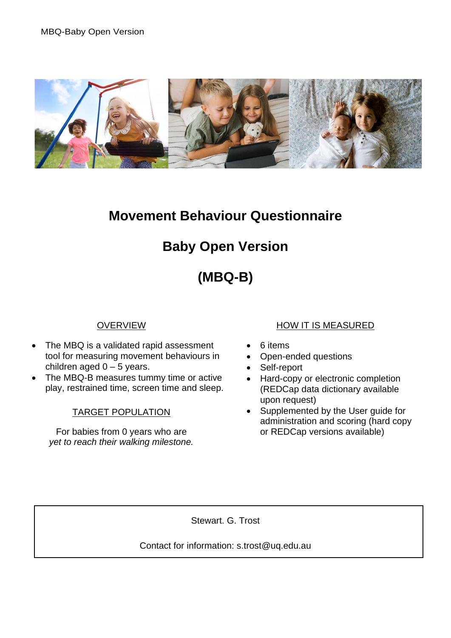

# **Movement Behaviour Questionnaire**

# **Baby Open Version**

# **(MBQ-B)**

### **OVERVIEW**

- The MBQ is a validated rapid assessment tool for measuring movement behaviours in children aged  $0 - 5$  years.
- The MBQ-B measures tummy time or active play, restrained time, screen time and sleep.

#### TARGET POPULATION

For babies from 0 years who are *yet to reach their walking milestone.*

#### HOW IT IS MEASURED

- 6 items
- Open-ended questions
- Self-report
- Hard-copy or electronic completion (REDCap data dictionary available upon request)
- Supplemented by the User guide for administration and scoring (hard copy or REDCap versions available)

Stewart. G. Trost

Contact for information: s.trost@uq.edu.au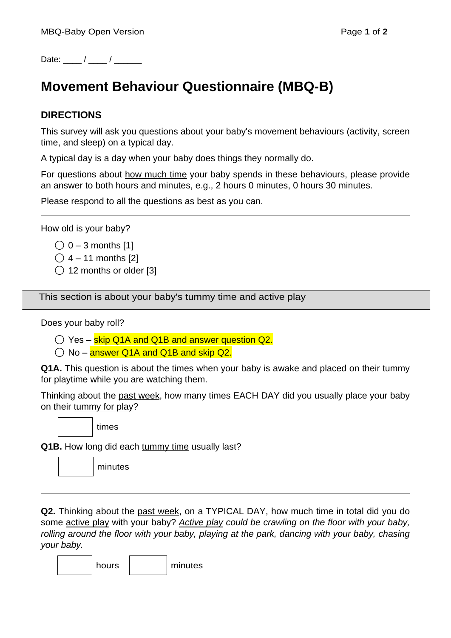Date:  $\frac{1}{2}$  /  $\frac{1}{2}$ 

# **Movement Behaviour Questionnaire (MBQ-B)**

#### **DIRECTIONS**

This survey will ask you questions about your baby's movement behaviours (activity, screen time, and sleep) on a typical day.

A typical day is a day when your baby does things they normally do.

For questions about how much time your baby spends in these behaviours, please provide an answer to both hours and minutes, e.g., 2 hours 0 minutes, 0 hours 30 minutes.

Please respond to all the questions as best as you can.

How old is your baby?

- $\bigcirc$  0 3 months [1]
- $\bigcirc$  4 11 months [2]
- ◯ 12 months or older [3]

This section is about your baby's tummy time and active play

Does your baby roll?

- $\bigcirc$  Yes skip Q1A and Q1B and answer question Q2.
- $\bigcirc$  No answer Q1A and Q1B and skip Q2.

**Q1A.** This question is about the times when your baby is awake and placed on their tummy for playtime while you are watching them.

Thinking about the past week, how many times EACH DAY did you usually place your baby on their tummy for play?

times

**Q1B.** How long did each tummy time usually last?

**Q2.** Thinking about the past week, on a TYPICAL DAY, how much time in total did you do some active play with your baby? *Active play could be crawling on the floor with your baby, rolling around the floor with your baby, playing at the park, dancing with your baby, chasing your baby.*

hours minutes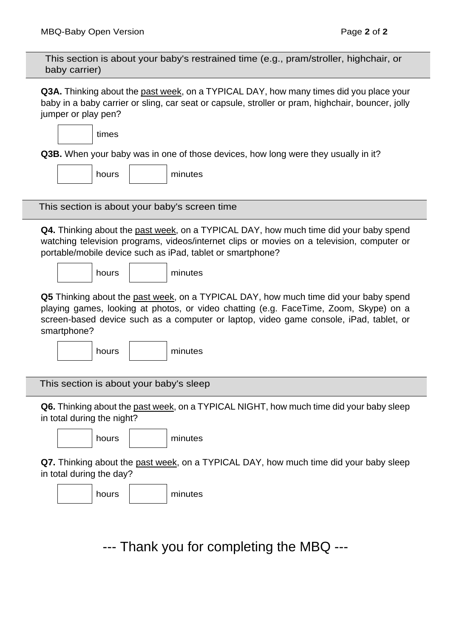| This section is about your baby's restrained time (e.g., pram/stroller, highchair, or<br>baby carrier)                                                                                                                                                                                 |  |  |
|----------------------------------------------------------------------------------------------------------------------------------------------------------------------------------------------------------------------------------------------------------------------------------------|--|--|
| Q3A. Thinking about the past week, on a TYPICAL DAY, how many times did you place your<br>baby in a baby carrier or sling, car seat or capsule, stroller or pram, highchair, bouncer, jolly<br>jumper or play pen?                                                                     |  |  |
| times                                                                                                                                                                                                                                                                                  |  |  |
| <b>Q3B.</b> When your baby was in one of those devices, how long were they usually in it?                                                                                                                                                                                              |  |  |
| minutes<br>hours                                                                                                                                                                                                                                                                       |  |  |
| This section is about your baby's screen time                                                                                                                                                                                                                                          |  |  |
| Q4. Thinking about the past week, on a TYPICAL DAY, how much time did your baby spend<br>watching television programs, videos/internet clips or movies on a television, computer or<br>portable/mobile device such as iPad, tablet or smartphone?                                      |  |  |
| hours<br>minutes                                                                                                                                                                                                                                                                       |  |  |
| Q5 Thinking about the past week, on a TYPICAL DAY, how much time did your baby spend<br>playing games, looking at photos, or video chatting (e.g. FaceTime, Zoom, Skype) on a<br>screen-based device such as a computer or laptop, video game console, iPad, tablet, or<br>smartphone? |  |  |
| minutes<br>hours                                                                                                                                                                                                                                                                       |  |  |
| This section is about your baby's sleep                                                                                                                                                                                                                                                |  |  |
| Q6. Thinking about the past week, on a TYPICAL NIGHT, how much time did your baby sleep<br>in total during the night?                                                                                                                                                                  |  |  |
| minutes<br>hours                                                                                                                                                                                                                                                                       |  |  |
| Q7. Thinking about the past week, on a TYPICAL DAY, how much time did your baby sleep<br>in total during the day?                                                                                                                                                                      |  |  |
| minutes<br>hours                                                                                                                                                                                                                                                                       |  |  |
| --- Thank you for completing the MBQ ---                                                                                                                                                                                                                                               |  |  |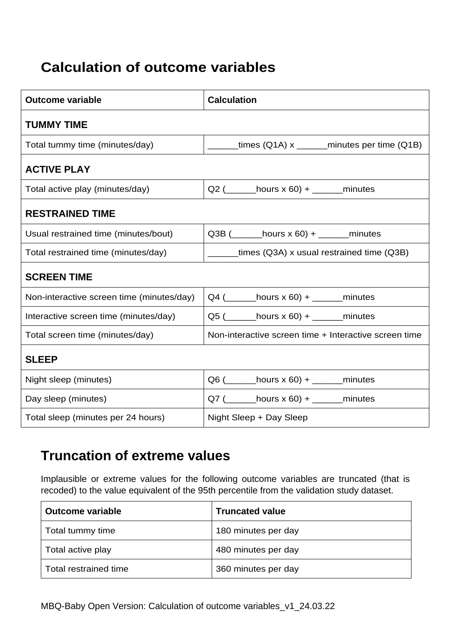# **Calculation of outcome variables**

| <b>Outcome variable</b>                   | <b>Calculation</b>                                               |
|-------------------------------------------|------------------------------------------------------------------|
| <b>TUMMY TIME</b>                         |                                                                  |
| Total tummy time (minutes/day)            | $\frac{1}{2}$ times (Q1A) x $\frac{1}{2}$ minutes per time (Q1B) |
| <b>ACTIVE PLAY</b>                        |                                                                  |
| Total active play (minutes/day)           | $Q2$ ( __________ hours x 60) + _________ minutes                |
| <b>RESTRAINED TIME</b>                    |                                                                  |
| Usual restrained time (minutes/bout)      | Q3B $($ ________ hours x 60) + ________ minutes                  |
| Total restrained time (minutes/day)       | ______times (Q3A) x usual restrained time (Q3B)                  |
| <b>SCREEN TIME</b>                        |                                                                  |
| Non-interactive screen time (minutes/day) | $Q4$ ( _______hours x 60) + _______minutes                       |
| Interactive screen time (minutes/day)     | $Q5$ ( ________ hours x 60) + _______ minutes                    |
| Total screen time (minutes/day)           | Non-interactive screen time + Interactive screen time            |
| <b>SLEEP</b>                              |                                                                  |
| Night sleep (minutes)                     | $Q6$ ( _______ hours x 60) + _______ minutes                     |
| Day sleep (minutes)                       | $Q7$ ( ________ hours x 60) + _______ minutes                    |
| Total sleep (minutes per 24 hours)        | Night Sleep + Day Sleep                                          |

### **Truncation of extreme values**

Implausible or extreme values for the following outcome variables are truncated (that is recoded) to the value equivalent of the 95th percentile from the validation study dataset.

| Outcome variable      | <b>Truncated value</b> |
|-----------------------|------------------------|
| Total tummy time      | 180 minutes per day    |
| Total active play     | 480 minutes per day    |
| Total restrained time | 360 minutes per day    |